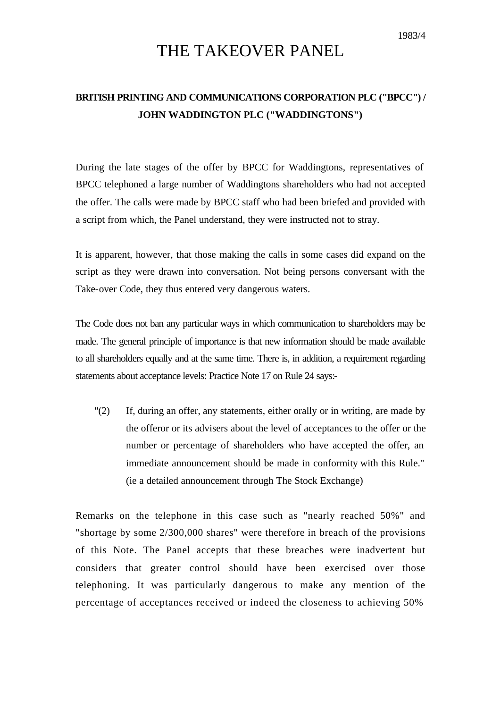## THE TAKEOVER PANEL

## **BRITISH PRINTING AND COMMUNICATIONS CORPORATION PLC ("BPCC") / JOHN WADDINGTON PLC ("WADDINGTONS")**

During the late stages of the offer by BPCC for Waddingtons, representatives of BPCC telephoned a large number of Waddingtons shareholders who had not accepted the offer. The calls were made by BPCC staff who had been briefed and provided with a script from which, the Panel understand, they were instructed not to stray.

It is apparent, however, that those making the calls in some cases did expand on the script as they were drawn into conversation. Not being persons conversant with the Take-over Code, they thus entered very dangerous waters.

The Code does not ban any particular ways in which communication to shareholders may be made. The general principle of importance is that new information should be made available to all shareholders equally and at the same time. There is, in addition, a requirement regarding statements about acceptance levels: Practice Note 17 on Rule 24 says:-

"(2) If, during an offer, any statements, either orally or in writing, are made by the offeror or its advisers about the level of acceptances to the offer or the number or percentage of shareholders who have accepted the offer, an immediate announcement should be made in conformity with this Rule." (ie a detailed announcement through The Stock Exchange)

Remarks on the telephone in this case such as "nearly reached 50%" and "shortage by some 2/300,000 shares" were therefore in breach of the provisions of this Note. The Panel accepts that these breaches were inadvertent but considers that greater control should have been exercised over those telephoning. It was particularly dangerous to make any mention of the percentage of acceptances received or indeed the closeness to achieving 50%